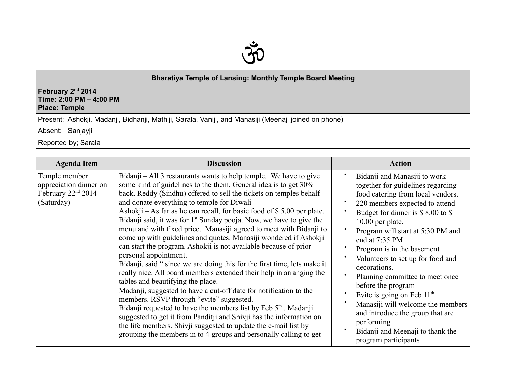

## **Bharatiya Temple of Lansing: Monthly Temple Board Meeting**

## **February 2nd 2014 Time: 2:00 PM – 4:00 PM Place: Temple**

Present: Ashokji, Madanji, Bidhanji, Mathiji, Sarala, Vaniji, and Manasiji (Meenaji joined on phone)

Absent: Sanjayji

Reported by; Sarala

| <b>Agenda Item</b>                                                                      | <b>Discussion</b>                                                                                                                                                                                                                                                                                                                                                                                                                                                                                                                                                                                                                                                                                                                                                                                                                                                                                                                                                                                                                                                                                                                                                                                                                                           | <b>Action</b>                                                                                                                                                                                                                                                                                                                                                                                                                                                                                                                                                                           |
|-----------------------------------------------------------------------------------------|-------------------------------------------------------------------------------------------------------------------------------------------------------------------------------------------------------------------------------------------------------------------------------------------------------------------------------------------------------------------------------------------------------------------------------------------------------------------------------------------------------------------------------------------------------------------------------------------------------------------------------------------------------------------------------------------------------------------------------------------------------------------------------------------------------------------------------------------------------------------------------------------------------------------------------------------------------------------------------------------------------------------------------------------------------------------------------------------------------------------------------------------------------------------------------------------------------------------------------------------------------------|-----------------------------------------------------------------------------------------------------------------------------------------------------------------------------------------------------------------------------------------------------------------------------------------------------------------------------------------------------------------------------------------------------------------------------------------------------------------------------------------------------------------------------------------------------------------------------------------|
| Temple member<br>appreciation dinner on<br>February 22 <sup>nd</sup> 2014<br>(Saturday) | Bidanji – All 3 restaurants wants to help temple. We have to give<br>some kind of guidelines to the them. General idea is to get 30%<br>back. Reddy (Sindhu) offered to sell the tickets on temples behalf<br>and donate everything to temple for Diwali<br>Ashokji – As far as he can recall, for basic food of $$ 5.00$ per plate.<br>Bidanji said, it was for $1st$ Sunday pooja. Now, we have to give the<br>menu and with fixed price. Manasiji agreed to meet with Bidanji to<br>come up with guidelines and quotes. Manasiji wondered if Ashokji<br>can start the program. Ashokji is not available because of prior<br>personal appointment.<br>Bidanji, said " since we are doing this for the first time, lets make it<br>really nice. All board members extended their help in arranging the<br>tables and beautifying the place.<br>Madanji, suggested to have a cut-off date for notification to the<br>members. RSVP through "evite" suggested.<br>Bidanji requested to have the members list by Feb 5 <sup>th</sup> . Madanji<br>suggested to get it from Panditji and Shivji has the information on<br>the life members. Shivji suggested to update the e-mail list by<br>grouping the members in to 4 groups and personally calling to get | Bidanji and Manasiji to work<br>together for guidelines regarding<br>food catering from local vendors.<br>220 members expected to attend<br>Budget for dinner is \$8.00 to \$<br>10.00 per plate.<br>Program will start at 5:30 PM and<br>end at 7:35 PM<br>Program is in the basement<br>Volunteers to set up for food and<br>decorations.<br>Planning committee to meet once<br>before the program<br>Evite is going on Feb $11th$<br>Manasiji will welcome the members<br>and introduce the group that are<br>performing<br>Bidanji and Meenaji to thank the<br>program participants |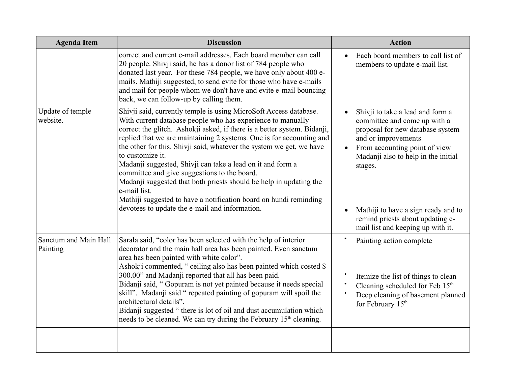| <b>Agenda Item</b>                | <b>Discussion</b>                                                                                                                                                                                                                                                                                                                                                                                                                                                                                                                                                                                                                                                                                           | <b>Action</b>                                                                                                                                                                                                                                                                                                                  |
|-----------------------------------|-------------------------------------------------------------------------------------------------------------------------------------------------------------------------------------------------------------------------------------------------------------------------------------------------------------------------------------------------------------------------------------------------------------------------------------------------------------------------------------------------------------------------------------------------------------------------------------------------------------------------------------------------------------------------------------------------------------|--------------------------------------------------------------------------------------------------------------------------------------------------------------------------------------------------------------------------------------------------------------------------------------------------------------------------------|
|                                   | correct and current e-mail addresses. Each board member can call<br>20 people. Shivji said, he has a donor list of 784 people who<br>donated last year. For these 784 people, we have only about 400 e-<br>mails. Mathiji suggested, to send evite for those who have e-mails<br>and mail for people whom we don't have and evite e-mail bouncing<br>back, we can follow-up by calling them.                                                                                                                                                                                                                                                                                                                | Each board members to call list of<br>$\bullet$<br>members to update e-mail list.                                                                                                                                                                                                                                              |
| Update of temple<br>website.      | Shivji said, currently temple is using MicroSoft Access database.<br>With current database people who has experience to manually<br>correct the glitch. Ashokji asked, if there is a better system. Bidanji,<br>replied that we are maintaining 2 systems. One is for accounting and<br>the other for this. Shivji said, whatever the system we get, we have<br>to customize it.<br>Madanji suggested, Shivji can take a lead on it and form a<br>committee and give suggestions to the board.<br>Madanji suggested that both priests should be help in updating the<br>e-mail list.<br>Mathiji suggested to have a notification board on hundi reminding<br>devotees to update the e-mail and information. | Shivji to take a lead and form a<br>committee and come up with a<br>proposal for new database system<br>and or improvements<br>From accounting point of view<br>Madanji also to help in the initial<br>stages.<br>Mathiji to have a sign ready and to<br>remind priests about updating e-<br>mail list and keeping up with it. |
| Sanctum and Main Hall<br>Painting | Sarala said, "color has been selected with the help of interior<br>decorator and the main hall area has been painted. Even sanctum<br>area has been painted with white color".<br>Ashokji commented, "ceiling also has been painted which costed \$<br>300.00" and Madanji reported that all has been paid.<br>Bidanji said, "Gopuram is not yet painted because it needs special<br>skill". Madanji said "repeated painting of gopuram will spoil the<br>architectural details".<br>Bidanji suggested "there is lot of oil and dust accumulation which<br>needs to be cleaned. We can try during the February 15 <sup>th</sup> cleaning.                                                                   | Painting action complete<br>Itemize the list of things to clean<br>Cleaning scheduled for Feb 15 <sup>th</sup><br>Deep cleaning of basement planned<br>for February 15 <sup>th</sup>                                                                                                                                           |
|                                   |                                                                                                                                                                                                                                                                                                                                                                                                                                                                                                                                                                                                                                                                                                             |                                                                                                                                                                                                                                                                                                                                |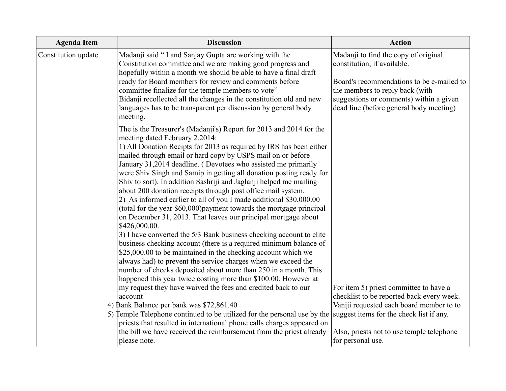| <b>Agenda Item</b>  | <b>Discussion</b>                                                                                                                                                                                                                                                                                                                                                                                                                                                                                                                                                                                                                                                                                                                                                                                                                                                                                                                                                                                                                                                                                                                                                                                                                                                                                                                                                                                                                                                                                                                                                            | <b>Action</b>                                                                                                                                                                                                                             |
|---------------------|------------------------------------------------------------------------------------------------------------------------------------------------------------------------------------------------------------------------------------------------------------------------------------------------------------------------------------------------------------------------------------------------------------------------------------------------------------------------------------------------------------------------------------------------------------------------------------------------------------------------------------------------------------------------------------------------------------------------------------------------------------------------------------------------------------------------------------------------------------------------------------------------------------------------------------------------------------------------------------------------------------------------------------------------------------------------------------------------------------------------------------------------------------------------------------------------------------------------------------------------------------------------------------------------------------------------------------------------------------------------------------------------------------------------------------------------------------------------------------------------------------------------------------------------------------------------------|-------------------------------------------------------------------------------------------------------------------------------------------------------------------------------------------------------------------------------------------|
| Constitution update | Madanji said "I and Sanjay Gupta are working with the<br>Constitution committee and we are making good progress and<br>hopefully within a month we should be able to have a final draft<br>ready for Board members for review and comments before<br>committee finalize for the temple members to vote"<br>Bidanji recollected all the changes in the constitution old and new<br>languages has to be transparent per discussion by general body<br>meeting.                                                                                                                                                                                                                                                                                                                                                                                                                                                                                                                                                                                                                                                                                                                                                                                                                                                                                                                                                                                                                                                                                                                 | Madanji to find the copy of original<br>constitution, if available.<br>Board's recommendations to be e-mailed to<br>the members to reply back (with<br>suggestions or comments) within a given<br>dead line (before general body meeting) |
|                     | The is the Treasurer's (Madanji's) Report for 2013 and 2014 for the<br>meeting dated February 2,2014:<br>1) All Donation Recipts for 2013 as required by IRS has been either<br>mailed through email or hard copy by USPS mail on or before<br>January 31,2014 deadline. (Devotees who assisted me primarily<br>were Shiv Singh and Samip in getting all donation posting ready for<br>Shiv to sort). In addition Sashriji and Jaglanji helped me mailing<br>about 200 donation receipts through post office mail system.<br>2) As informed earlier to all of you I made additional \$30,000.00<br>(total for the year \$60,000) payment towards the mortgage principal<br>on December 31, 2013. That leaves our principal mortgage about<br>\$426,000.00.<br>3) I have converted the 5/3 Bank business checking account to elite<br>business checking account (there is a required minimum balance of<br>\$25,000.00 to be maintained in the checking account which we<br>always had) to prevent the service charges when we exceed the<br>number of checks deposited about more than 250 in a month. This<br>happened this year twice costing more than \$100.00. However at<br>my request they have waived the fees and credited back to our<br>account<br>4) Bank Balance per bank was \$72,861.40<br>5) Temple Telephone continued to be utilized for the personal use by the suggest items for the check list if any.<br>priests that resulted in international phone calls charges appeared on<br>the bill we have received the reimbursement from the priest already | For item 5) priest committee to have a<br>checklist to be reported back every week.<br>Vaniji requested each board member to to<br>Also, priests not to use temple telephone                                                              |
|                     | please note.                                                                                                                                                                                                                                                                                                                                                                                                                                                                                                                                                                                                                                                                                                                                                                                                                                                                                                                                                                                                                                                                                                                                                                                                                                                                                                                                                                                                                                                                                                                                                                 | for personal use.                                                                                                                                                                                                                         |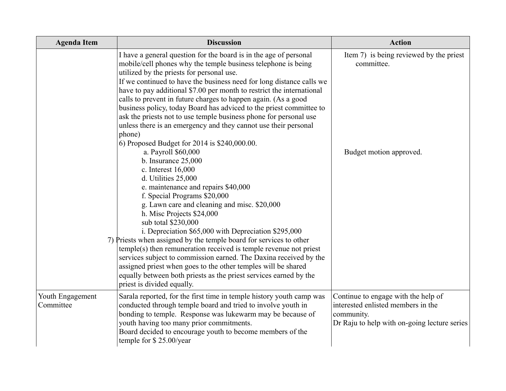| <b>Agenda Item</b>            | <b>Discussion</b>                                                                                                                                                                                                                                                                                                                                                                                                                                                                                                                                                                                                                                                                                                                                                                                                                                                                                                                                                                                                                                                                                                                                                                                                                                                                                                                                                                               | <b>Action</b>                                                                                                                           |
|-------------------------------|-------------------------------------------------------------------------------------------------------------------------------------------------------------------------------------------------------------------------------------------------------------------------------------------------------------------------------------------------------------------------------------------------------------------------------------------------------------------------------------------------------------------------------------------------------------------------------------------------------------------------------------------------------------------------------------------------------------------------------------------------------------------------------------------------------------------------------------------------------------------------------------------------------------------------------------------------------------------------------------------------------------------------------------------------------------------------------------------------------------------------------------------------------------------------------------------------------------------------------------------------------------------------------------------------------------------------------------------------------------------------------------------------|-----------------------------------------------------------------------------------------------------------------------------------------|
|                               | I have a general question for the board is in the age of personal<br>mobile/cell phones why the temple business telephone is being<br>utilized by the priests for personal use.<br>If we continued to have the business need for long distance calls we<br>have to pay additional \$7.00 per month to restrict the international<br>calls to prevent in future charges to happen again. (As a good<br>business policy, today Board has adviced to the priest committee to<br>ask the priests not to use temple business phone for personal use<br>unless there is an emergency and they cannot use their personal<br>phone)<br>6) Proposed Budget for 2014 is \$240,000.00.<br>a. Payroll \$60,000<br>b. Insurance $25,000$<br>c. Interest 16,000<br>d. Utilities 25,000<br>e. maintenance and repairs \$40,000<br>f. Special Programs \$20,000<br>g. Lawn care and cleaning and misc. \$20,000<br>h. Misc Projects \$24,000<br>sub total \$230,000<br>i. Depreciation \$65,000 with Depreciation \$295,000<br>7) Priests when assigned by the temple board for services to other<br>temple(s) then remuneration received is temple revenue not priest<br>services subject to commission earned. The Daxina received by the<br>assigned priest when goes to the other temples will be shared<br>equally between both priests as the priest services earned by the<br>priest is divided equally. | Item 7) is being reviewed by the priest<br>committee.<br>Budget motion approved.                                                        |
| Youth Engagement<br>Committee | Sarala reported, for the first time in temple history youth camp was<br>conducted through temple board and tried to involve youth in<br>bonding to temple. Response was lukewarm may be because of<br>youth having too many prior commitments.<br>Board decided to encourage youth to become members of the<br>temple for \$25.00/year                                                                                                                                                                                                                                                                                                                                                                                                                                                                                                                                                                                                                                                                                                                                                                                                                                                                                                                                                                                                                                                          | Continue to engage with the help of<br>interested enlisted members in the<br>community.<br>Dr Raju to help with on-going lecture series |